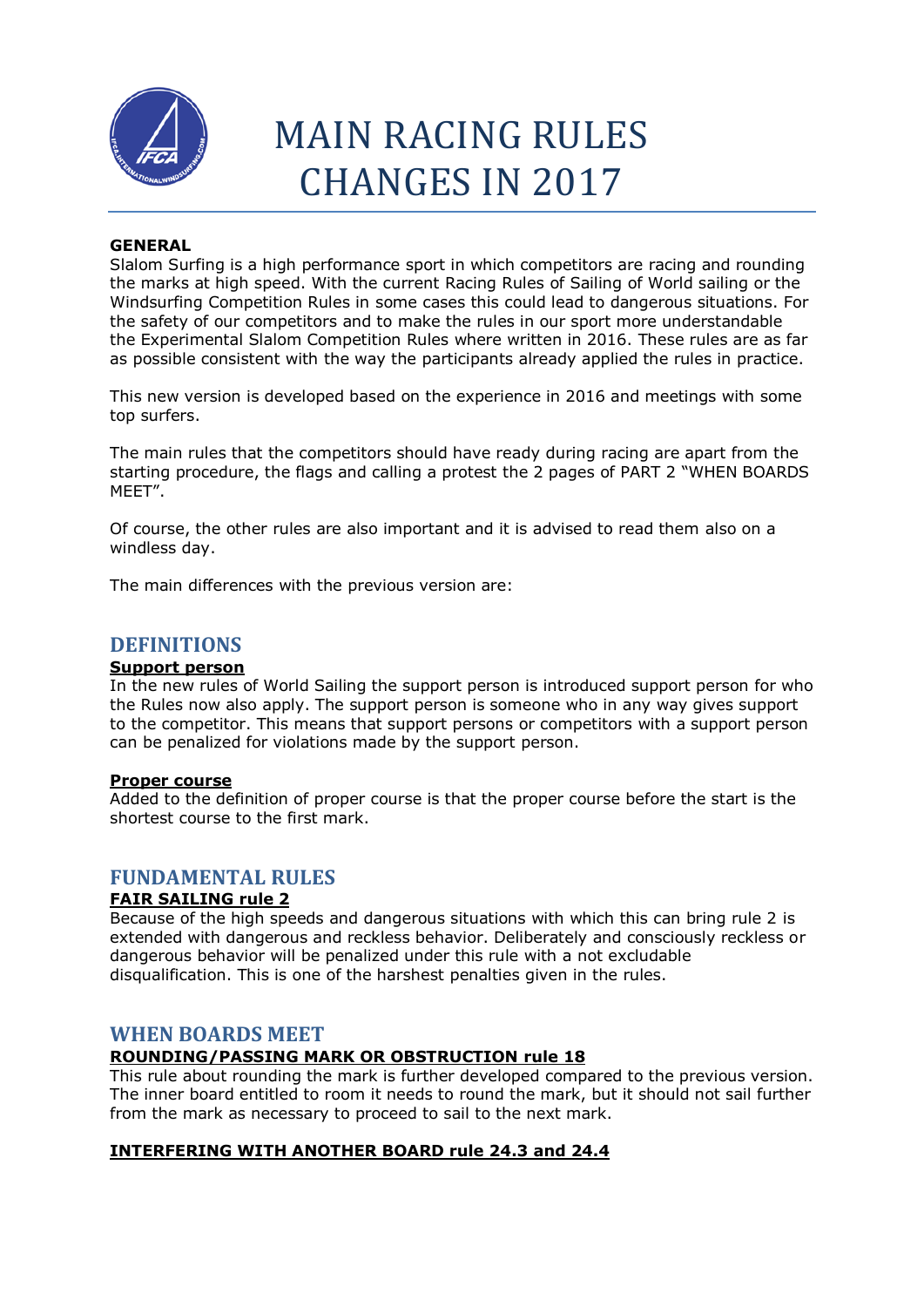

# MAIN RACING RULES CHANGES IN 2017

## **GENERAL**

Slalom Surfing is a high performance sport in which competitors are racing and rounding the marks at high speed. With the current Racing Rules of Sailing of World sailing or the Windsurfing Competition Rules in some cases this could lead to dangerous situations. For the safety of our competitors and to make the rules in our sport more understandable the Experimental Slalom Competition Rules where written in 2016. These rules are as far as possible consistent with the way the participants already applied the rules in practice.

This new version is developed based on the experience in 2016 and meetings with some top surfers.

The main rules that the competitors should have ready during racing are apart from the starting procedure, the flags and calling a protest the 2 pages of PART 2 "WHEN BOARDS MEET".

Of course, the other rules are also important and it is advised to read them also on a windless day.

The main differences with the previous version are:

## **DEFINITIONS**

## **Support person**

In the new rules of World Sailing the support person is introduced support person for who the Rules now also apply. The support person is someone who in any way gives support to the competitor. This means that support persons or competitors with a support person can be penalized for violations made by the support person.

## **Proper course**

Added to the definition of proper course is that the proper course before the start is the shortest course to the first mark.

## **FUNDAMENTAL RULES**

## **FAIR SAILING rule 2**

Because of the high speeds and dangerous situations with which this can bring rule 2 is extended with dangerous and reckless behavior. Deliberately and consciously reckless or dangerous behavior will be penalized under this rule with a not excludable disqualification. This is one of the harshest penalties given in the rules.

## **WHEN BOARDS MEET**

## **ROUNDING/PASSING MARK OR OBSTRUCTION rule 18**

This rule about rounding the mark is further developed compared to the previous version. The inner board entitled to room it needs to round the mark, but it should not sail further from the mark as necessary to proceed to sail to the next mark.

## **INTERFERING WITH ANOTHER BOARD rule 24.3 and 24.4**